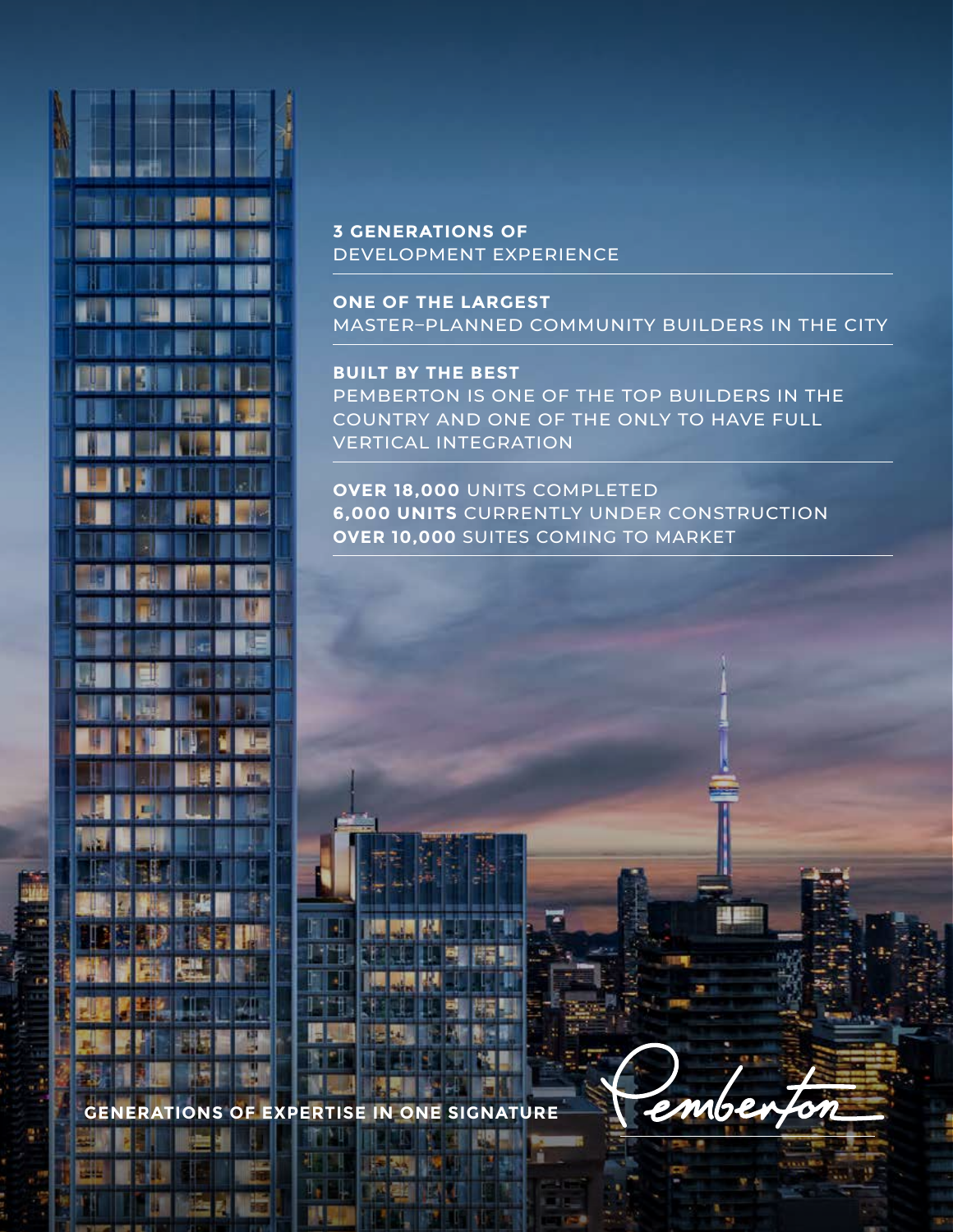

### **3 GENERATIONS OF** DEVELOPMENT EXPERIENCE

**ONE OF THE LARGEST** MASTER–PLANNED COMMUNITY BUILDERS IN THE CITY

**BUILT BY THE BEST** PEMBERTON IS ONE OF THE TOP BUILDERS IN THE COUNTRY AND ONE OF THE ONLY TO HAVE FULL VERTICAL INTEGRATION

**OVER 18,000** UNITS COMPLETED **6,000 UNITS** CURRENTLY UNDER CONSTRUCTION **OVER 10,000** SUITES COMING TO MARKET



**GENERATIONS OF EXPERTISE IN ONE SIGNATURE**

ď.

41 - 4 111 ⊣∥

Ħ

W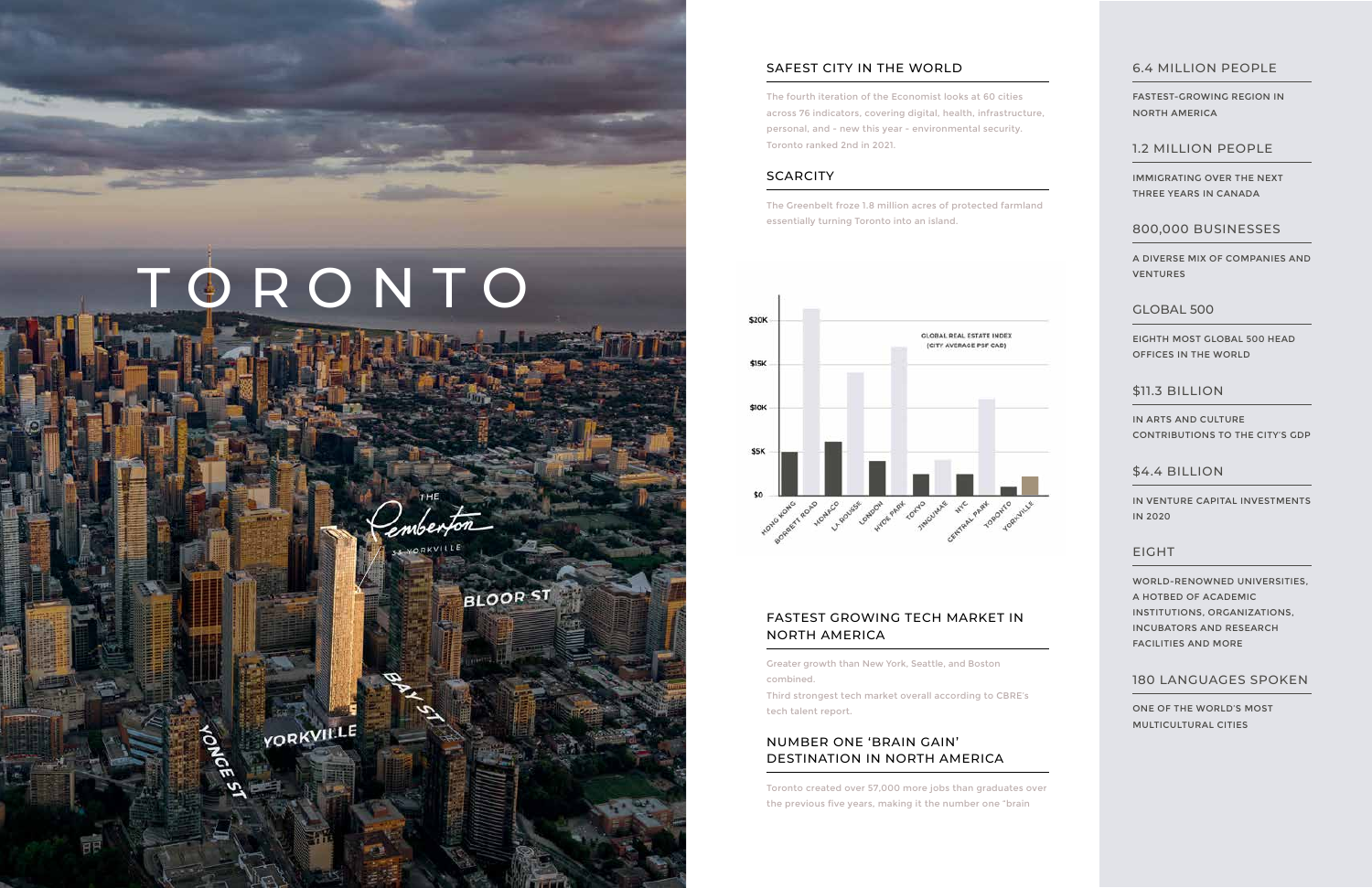### SAFEST CITY IN THE WORLD

The fourth iteration of the Economist looks at 60 cities across 76 indicators, covering digital, health, infrastructure, personal, and - new this year - environmental security. Toronto ranked 2nd in 2021.

### **SCARCITY**

The Greenbelt froze 1.8 million acres of protected farmland essentially turning Toronto into an island.



# TORONTO

YORKVILLE

**BLOOR ST** 

### FASTEST GROWING TECH MARKET IN NORTH AMERICA

Greater growth than New York, Seattle, and Boston combined. Third strongest tech market overall according to CBRE's

tech talent report.

### NUMBER ONE 'BRAIN GAIN' DESTINATION IN NORTH AMERICA

Toronto created over 57,000 more jobs than graduates over the previous five years, making it the number one "brain



### 6.4 MILLION PEOPLE

FASTEST-GROWING REGION IN NORTH AMERICA

### 1.2 MILLION PEOPLE

IMMIGRATING OVER THE NEXT THREE YEARS IN CANADA

### 800,000 BUSINESSES

A DIVERSE MIX OF COMPANIES AND VENTURES

### GLOBAL 500

EIGHTH MOST GLOBAL 500 HEAD OFFICES IN THE WORLD

### \$11.3 BILLION

IN ARTS AND CULTURE CONTRIBUTIONS TO THE CITY'S GDP

### \$4.4 BILLION

IN VENTURE CAPITAL INVESTMENTS IN 2020

### EIGHT

WORLD-RENOWNED UNIVERSITIES, A HOTBED OF ACADEMIC INSTITUTIONS, ORGANIZATIONS, INCUBATORS AND RESEARCH FACILITIES AND MORE

### 180 LANGUAGES SPOKEN

ONE OF THE WORLD'S MOST MULTICULTURAL CITIES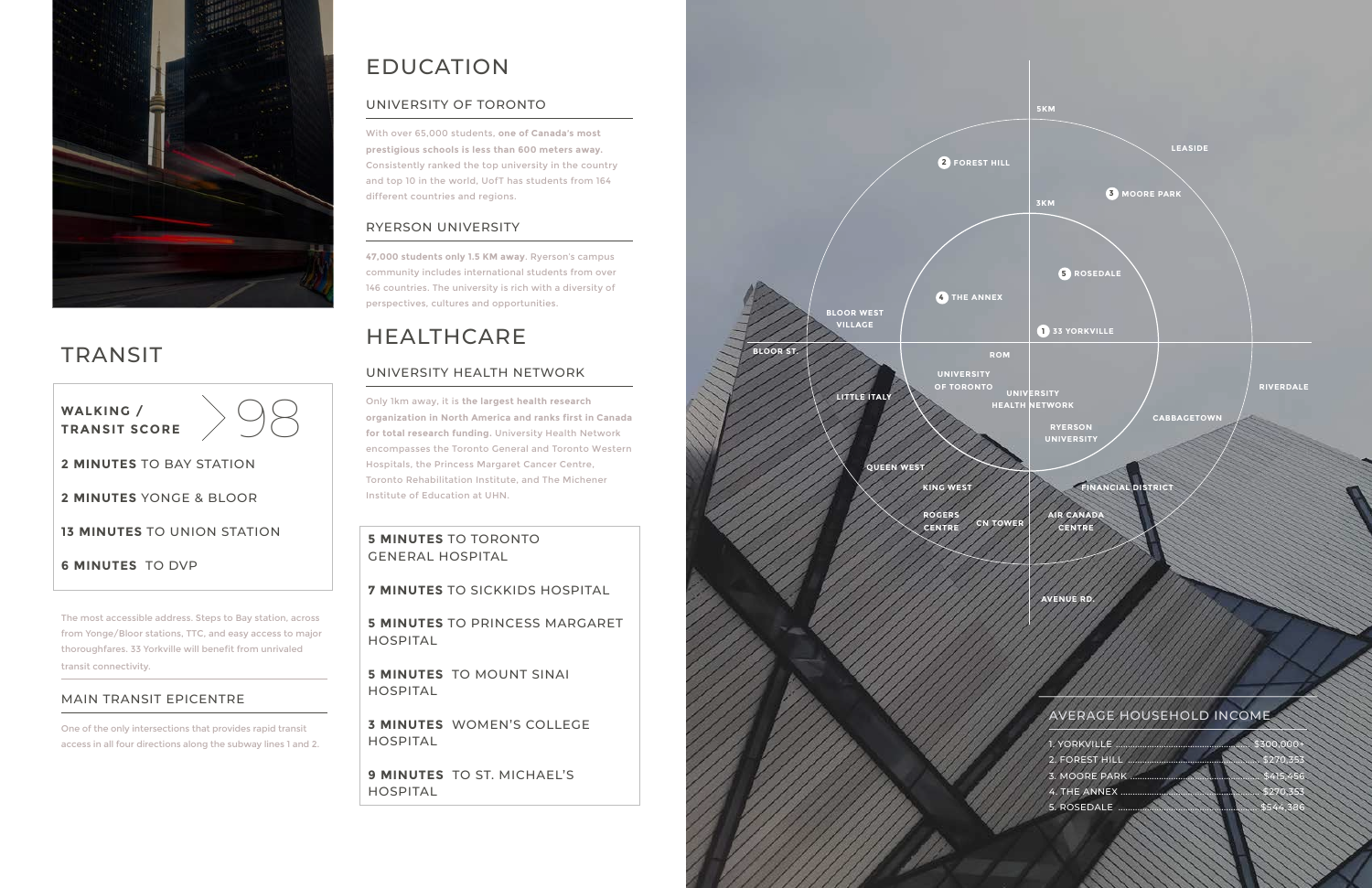

# TRANSIT

**WALKING / TRANSIT SCORE**

**2 MINUTES** YONGE & BLOOR

**13 MINUTES** TO UNION STATION

**6 MINUTES** TO DVP

The most accessible address. Steps to Bay station, across from Yonge/Bloor stations, TTC, and easy access to major thoroughfares. 33 Yorkville will benefit from unrivaled transit connectivity.

### MAIN TRANSIT EPICENTRE

One of the only intersections that provides rapid transit access in all four directions along the subway lines 1 and 2.

**2 MINUTES** TO BAY STATION 98

### **5 MINUTES** TO TORONTO GENERAL HOSPITAL

**7 MINUTES** TO SICKKIDS HOSPITAL

**5 MINUTES** TO PRINCESS MARGARET HOSPITAL

**5 MINUTES** TO MOUNT SINAI HOSPITAL

**3 MINUTES** WOMEN'S COLLEGE HOSPITAL

**9 MINUTES** TO ST. MICHAEL'S HOSPITAL

# EDUCATION

### UNIVERSITY OF TORONTO

With over 65,000 students, **one of Canada's most prestigious schools is less than 600 meters away.** Consistently ranked the top university in the country and top 10 in the world, UofT has students from 164 different countries and regions.



- 
- 
- 
- 

## RYERSON UNIVERSITY

**47,000 students only 1.5 KM away**. Ryerson's campus community includes international students from over 146 countries. The university is rich with a diversity of perspectives, cultures and opportunities.

# HEALTHCARE

# UNIVERSITY HEALTH NETWORK

Only 1km away, it is **the largest health research organization in North America and ranks first in Canada for total research funding.** University Health Network encompasses the Toronto General and Toronto Western Hospitals, the Princess Margaret Cancer Centre, Toronto Rehabilitation Institute, and The Michener Institute of Education at UHN.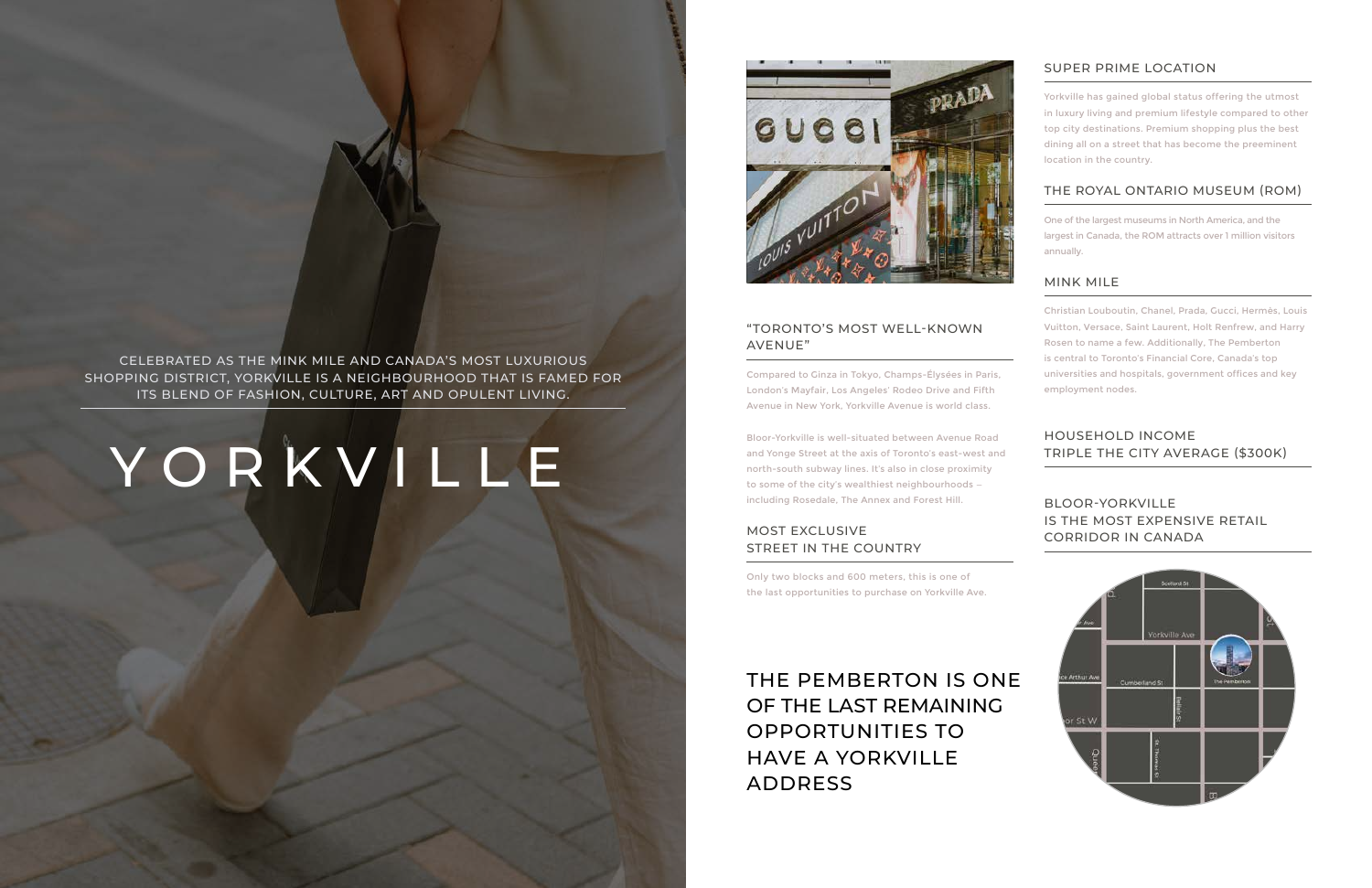CELEBRATED AS THE MINK MILE AND CANADA'S MOST LUXURIOUS SHOPPING DISTRICT, YORKVILLE IS A NEIGHBOURHOOD THAT IS FAMED FOR ITS BLEND OF FASHION, CULTURE, ART AND OPULENT LIVING.

## SUPER PRIME LOCATION

Yorkville has gained global status offering the utmost in luxury living and premium lifestyle compared to other top city destinations. Premium shopping plus the best dining all on a street that has become the preeminent location in the country.

# THE ROYAL ONTARIO MUSEUM (ROM)

One of the largest museums in North America, and the largest in Canada, the ROM attracts over 1 million visitors annually.

### MINK MILE

Christian Louboutin, Chanel, Prada, Gucci, Hermès, Louis Vuitton, Versace, Saint Laurent, Holt Renfrew, and Harry Rosen to name a few. Additionally, The Pemberton is central to Toronto's Financial Core, Canada's top universities and hospitals, government offices and key employment nodes.

### HOUSEHOLD INCOME TRIPLE THE CITY AVERAGE (\$300K)

### BLOOR-YORKVILLE IS THE MOST EXPENSIVE RETAIL CORRIDOR IN CANADA





### "TORONTO'S MOST WELL-KNOWN AVENUE"

Compared to Ginza in Tokyo, Champs-Élysées in Paris, London's Mayfair, Los Angeles' Rodeo Drive and Fifth Avenue in New York, Yorkville Avenue is world class.

Bloor-Yorkville is well-situated between Avenue Road and Yonge Street at the axis of Toronto's east-west and north-south subway lines. It's also in close proximity to some of the city's wealthiest neighbourhoods including Rosedale, The Annex and Forest Hill.

### MOST EXCLUSIVE STREET IN THE COUNTRY

Only two blocks and 600 meters, this is one of the last opportunities to purchase on Yorkville Ave.

# YORKVILLE

THE PEMBERTON IS ONE OF THE LAST REMAINING OPPORTUNITIES TO HAVE A YORKVILLE ADDRESS